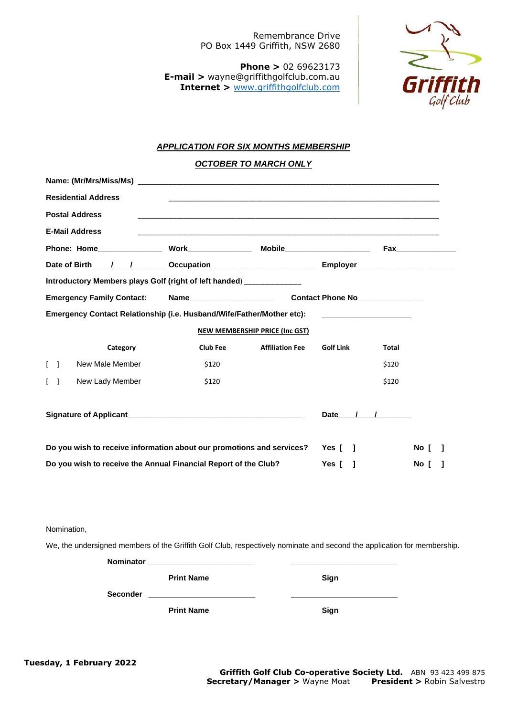Remembrance Drive PO Box 1449 Griffith, NSW 2680

**Phone >** 02 69623173 **E-mail >** wayne@griffithgolfclub.com.au **Internet >** [www.griffithgolfclub.com](http://www.griffithgolfclub.com/)



## *APPLICATION FOR SIX MONTHS MEMBERSHIP*

*OCTOBER TO MARCH ONLY*

| <b>Residential Address</b>                                            |                 |                        |                  |              |      |  |  |  |  |
|-----------------------------------------------------------------------|-----------------|------------------------|------------------|--------------|------|--|--|--|--|
| <b>Postal Address</b>                                                 |                 |                        |                  |              |      |  |  |  |  |
| <b>E-Mail Address</b>                                                 |                 |                        |                  |              |      |  |  |  |  |
|                                                                       |                 |                        |                  |              |      |  |  |  |  |
|                                                                       |                 |                        |                  |              |      |  |  |  |  |
| Introductory Members plays Golf (right of left handed) _____________  |                 |                        |                  |              |      |  |  |  |  |
| <b>Emergency Family Contact:</b>                                      |                 |                        |                  |              |      |  |  |  |  |
| Emergency Contact Relationship (i.e. Husband/Wife/Father/Mother etc): |                 |                        |                  |              |      |  |  |  |  |
| <b>NEW MEMBERSHIP PRICE (Inc GST)</b>                                 |                 |                        |                  |              |      |  |  |  |  |
| Category                                                              | <b>Club Fee</b> | <b>Affiliation Fee</b> | <b>Golf Link</b> | <b>Total</b> |      |  |  |  |  |
| New Male Member<br>$\sqrt{ }$                                         | \$120           |                        |                  | \$120        |      |  |  |  |  |
| New Lady Member                                                       | \$120           |                        |                  | \$120        |      |  |  |  |  |
|                                                                       |                 |                        |                  |              |      |  |  |  |  |
|                                                                       |                 |                        | Date / /         |              |      |  |  |  |  |
|                                                                       |                 |                        |                  |              |      |  |  |  |  |
| Do you wish to receive information about our promotions and services? |                 |                        | Yes [ 1          |              | No [ |  |  |  |  |
| Do you wish to receive the Annual Financial Report of the Club?       |                 |                        | Yes $[ \ ]$      |              | No [ |  |  |  |  |
|                                                                       |                 |                        |                  |              |      |  |  |  |  |
|                                                                       |                 |                        |                  |              |      |  |  |  |  |

## Nomination,

We, the undersigned members of the Griffith Golf Club, respectively nominate and second the application for membership.

| <b>Nominator</b> | the control of the control of the control of the control of the control of the control of |      |
|------------------|-------------------------------------------------------------------------------------------|------|
|                  | <b>Print Name</b>                                                                         | Sign |
| <b>Seconder</b>  | the control of the control of the control of the control of the control of                |      |
|                  | <b>Print Name</b>                                                                         | Sign |